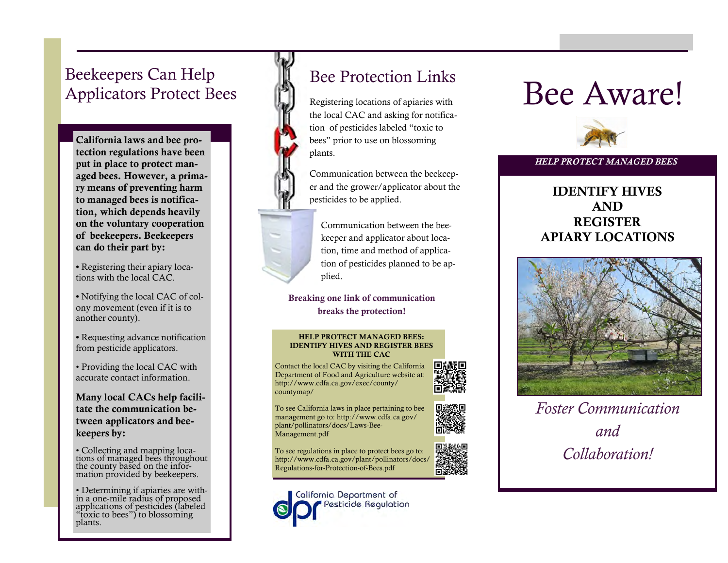# Beekeepers Can Help Applicators Protect Bees

**California laws and bee protection regulations have been put in place to protect managed bees. However, a primary means of preventing harm to managed bees is notification, which depends heavily on the voluntary cooperation of beekeepers. Beekeepers can do their part by:** 

**•** Registering their apiary locations with the local CAC.

**•** Notifying the local CAC of colony movement (even if it is to another county).

**•** Requesting advance notification from pesticide applicators.

• Providing the local CAC with accurate contact information.

**Many local CACs help facilitate the communication between applicators and beekeepers by:** 

• Collecting and mapping locations of managed bees throughout the county based on the information provided by beekeepers.

• Determining if apiaries are within a one-mile radius of proposed applications of pesticides (labeled "toxic to bees") to blossoming plants.

# Bee Protection Links

Registering locations of apiaries with the local CAC and asking for notification of pesticides labeled "toxic to bees" prior to use on blossoming plants.

Communication between the beekeeper and the grower/applicator about the pesticides to be applied.

Communication between the beekeeper and applicator about location, time and method of application of pesticides planned to be applied.

**Breaking one link of communication breaks the protection!** 

#### **HELP PROTECT MANAGED BEES: IDENTIFY HIVES AND REGISTER BEES WITH THE CAC**

Contact the local CAC by visiting the California Department of Food and Agriculture website at: http://www.cdfa.ca.gov/exec/county/ countymap/

To see California laws in place pertaining to bee management go to: http://www.cdfa.ca.gov/ plant/pollinators/docs/Laws-Bee-Management.pdf

To see regulations in place to protect bees go to: http://www.cdfa.ca.gov/plant/pollinators/docs/ Regulations-for-Protection-of-Bees.pdf



# Bee Aware!



#### *HELP PROTECT MANAGED BEES*

### **IDENTIFY HIVES AND REGISTER APIARY LOCATIONS**



*Foster Communication and Collaboration!*